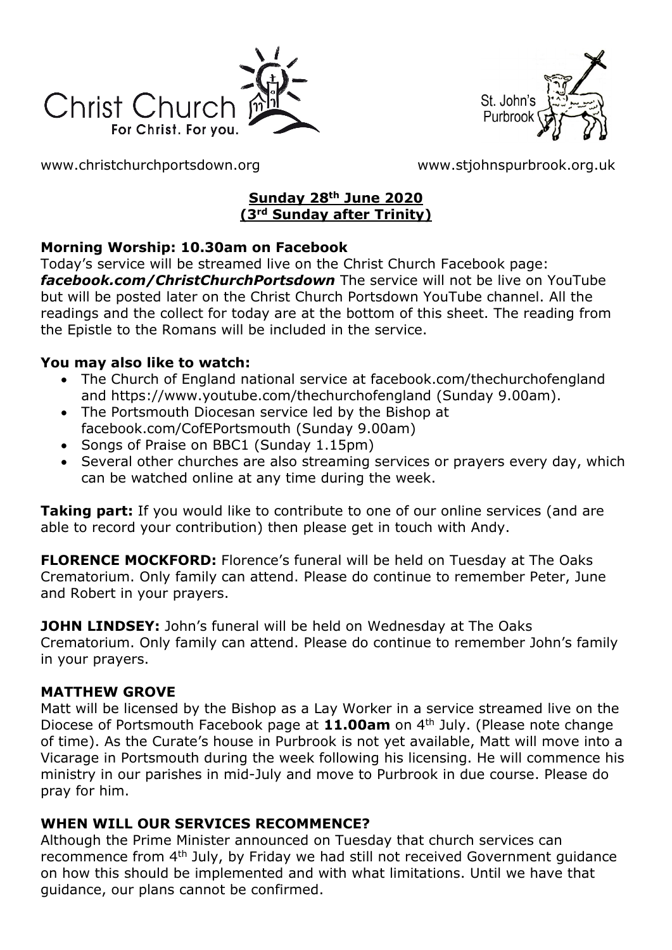



[www.christchurchportsdown.org](http://www.christchurchportsdown.org/) [www.stjohnspurbrook.org.uk](http://www.stjohnspurbrook.org.uk/)

## **Sunday 28th June 2020 (3rd Sunday after Trinity)**

## **Morning Worship: 10.30am on Facebook**

Today's service will be streamed live on the Christ Church Facebook page: *[facebook.com/ChristChurchPortsdown](http://www.facebook.com/ChristChurchPortsdown%20at%2010.30)* The service will not be live on YouTube but will be posted later on the Christ Church Portsdown YouTube channel. All the readings and the collect for today are at the bottom of this sheet. The reading from the Epistle to the Romans will be included in the service.

#### **You may also like to watch:**

- The Church of England national service at facebook.com/thechurchofengland and https://www.youtube.com/thechurchofengland (Sunday 9.00am).
- The Portsmouth Diocesan service led by the Bishop at facebook.com/CofEPortsmouth (Sunday 9.00am)
- Songs of Praise on BBC1 (Sunday 1.15pm)
- Several other churches are also streaming services or prayers every day, which can be watched online at any time during the week.

**Taking part:** If you would like to contribute to one of our online services (and are able to record your contribution) then please get in touch with Andy.

**FLORENCE MOCKFORD:** Florence's funeral will be held on Tuesday at The Oaks Crematorium. Only family can attend. Please do continue to remember Peter, June and Robert in your prayers.

**JOHN LINDSEY:** John's funeral will be held on Wednesday at The Oaks Crematorium. Only family can attend. Please do continue to remember John's family in your prayers.

#### **MATTHEW GROVE**

Matt will be licensed by the Bishop as a Lay Worker in a service streamed live on the Diocese of Portsmouth Facebook page at **11.00am** on 4th July. (Please note change of time). As the Curate's house in Purbrook is not yet available, Matt will move into a Vicarage in Portsmouth during the week following his licensing. He will commence his ministry in our parishes in mid-July and move to Purbrook in due course. Please do pray for him.

#### **WHEN WILL OUR SERVICES RECOMMENCE?**

Although the Prime Minister announced on Tuesday that church services can recommence from 4th July, by Friday we had still not received Government guidance on how this should be implemented and with what limitations. Until we have that guidance, our plans cannot be confirmed.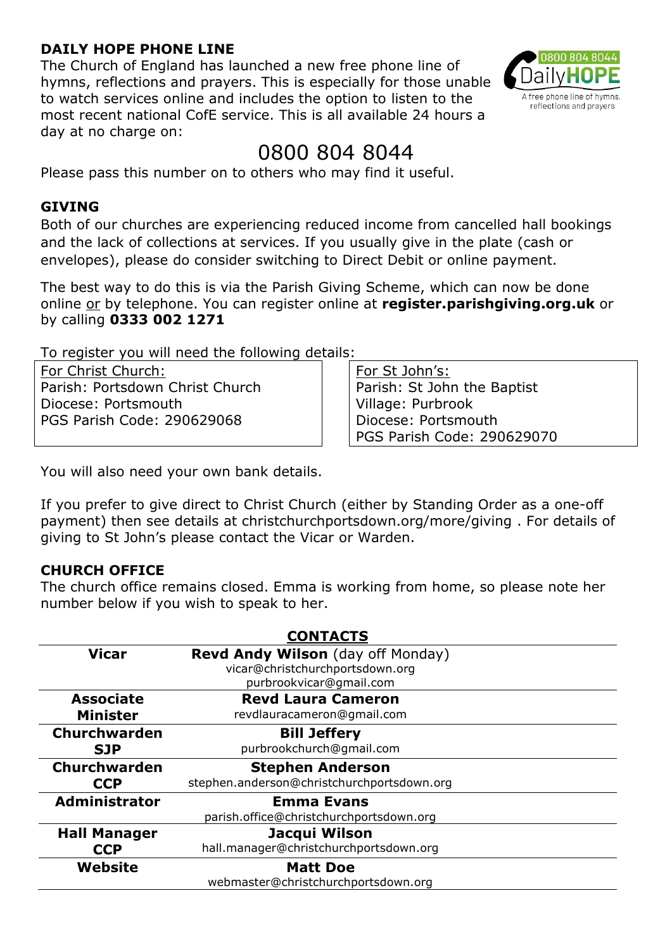#### **DAILY HOPE PHONE LINE**

The Church of England has launched a new free phone line of hymns, reflections and prayers. This is especially for those unable to watch services online and includes the option to listen to the most recent national CofE service. This is all available 24 hours a day at no charge on:

# 0800 804 8044

Please pass this number on to others who may find it useful.

#### **GIVING**

Both of our churches are experiencing reduced income from cancelled hall bookings and the lack of collections at services. If you usually give in the plate (cash or envelopes), please do consider switching to Direct Debit or online payment.

The best way to do this is via the Parish Giving Scheme, which can now be done online or by telephone. You can register online at **register.parishgiving.org.uk** or by calling **0333 002 1271**

To register you will need the following details:

For Christ Church: Parish: Portsdown Christ Church Diocese: Portsmouth PGS Parish Code: 290629068

For St John's: Parish: St John the Baptist Village: Purbrook Diocese: Portsmouth PGS Parish Code: 290629070

You will also need your own bank details.

If you prefer to give direct to Christ Church (either by Standing Order as a one-off payment) then see details at christchurchportsdown.org/more/giving . For details of giving to St John's please contact the Vicar or Warden.

## **CHURCH OFFICE**

The church office remains closed. Emma is working from home, so please note her number below if you wish to speak to her.

| <b>CONTACTS</b>      |                                                                             |
|----------------------|-----------------------------------------------------------------------------|
| <b>Vicar</b>         | <b>Revd Andy Wilson</b> (day off Monday)<br>vicar@christchurchportsdown.org |
|                      | purbrookvicar@gmail.com                                                     |
| <b>Associate</b>     | <b>Revd Laura Cameron</b>                                                   |
| <b>Minister</b>      | revdlauracameron@gmail.com                                                  |
| Churchwarden         | <b>Bill Jeffery</b>                                                         |
| <b>SJP</b>           | purbrookchurch@gmail.com                                                    |
| Churchwarden         | <b>Stephen Anderson</b>                                                     |
| <b>CCP</b>           | stephen.anderson@christchurchportsdown.org                                  |
| <b>Administrator</b> | <b>Emma Evans</b>                                                           |
|                      | parish.office@christchurchportsdown.org                                     |
| <b>Hall Manager</b>  | Jacqui Wilson                                                               |
| <b>CCP</b>           | hall.manager@christchurchportsdown.org                                      |
| Website              | <b>Matt Doe</b>                                                             |
|                      | webmaster@christchurchportsdown.org                                         |

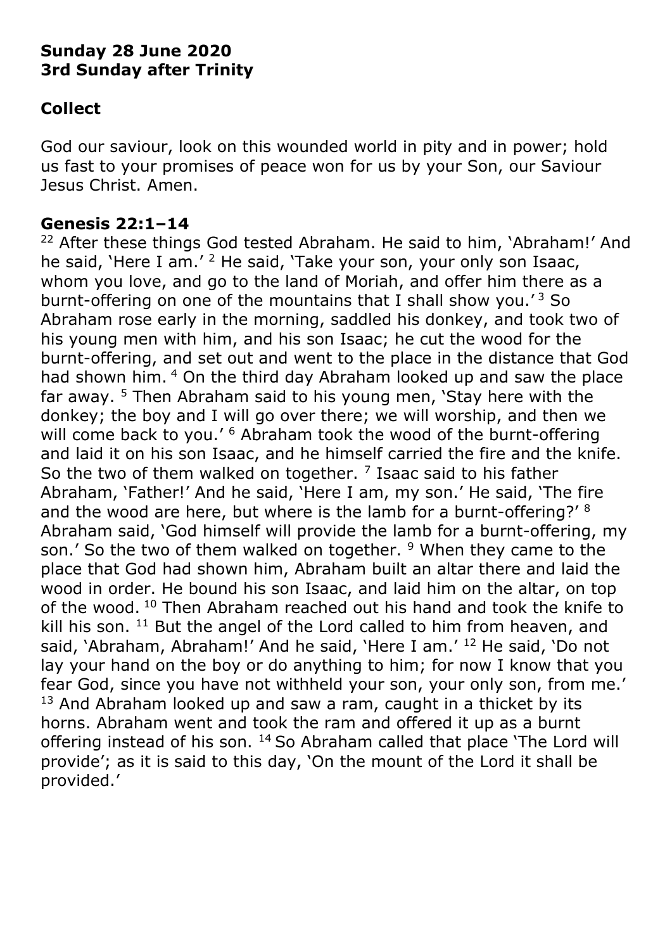# **Sunday 28 June 2020 3rd Sunday after Trinity**

# **Collect**

God our saviour, look on this wounded world in pity and in power; hold us fast to your promises of peace won for us by your Son, our Saviour Jesus Christ. Amen.

## **Genesis 22:1–14**

<sup>22</sup> After these things God tested Abraham. He said to him, 'Abraham!' And he said, 'Here I am.' <sup>2</sup> He said, 'Take your son, your only son Isaac, whom you love, and go to the land of Moriah, and offer him there as a burnt-offering on one of the mountains that I shall show you.<sup> $3$ </sup> So Abraham rose early in the morning, saddled his donkey, and took two of his young men with him, and his son Isaac; he cut the wood for the burnt-offering, and set out and went to the place in the distance that God had shown him. <sup>4</sup> On the third day Abraham looked up and saw the place far away.  $5$  Then Abraham said to his young men, 'Stay here with the donkey; the boy and I will go over there; we will worship, and then we will come back to you.' <sup>6</sup> Abraham took the wood of the burnt-offering and laid it on his son Isaac, and he himself carried the fire and the knife. So the two of them walked on together.  $<sup>7</sup>$  Isaac said to his father</sup> Abraham, 'Father!' And he said, 'Here I am, my son.' He said, 'The fire and the wood are here, but where is the lamb for a burnt-offering?' <sup>8</sup> Abraham said, 'God himself will provide the lamb for a burnt-offering, my son.' So the two of them walked on together.  $9$  When they came to the place that God had shown him, Abraham built an altar there and laid the wood in order. He bound his son Isaac, and laid him on the altar, on top of the wood. <sup>10</sup> Then Abraham reached out his hand and took the knife to kill his son.  $11$  But the angel of the Lord called to him from heaven, and said, 'Abraham, Abraham!' And he said, 'Here I am.' <sup>12</sup> He said, 'Do not lay your hand on the boy or do anything to him; for now I know that you fear God, since you have not withheld your son, your only son, from me.'  $13$  And Abraham looked up and saw a ram, caught in a thicket by its horns. Abraham went and took the ram and offered it up as a burnt offering instead of his son. <sup>14</sup> So Abraham called that place 'The Lord will provide'; as it is said to this day, 'On the mount of the Lord it shall be provided.'